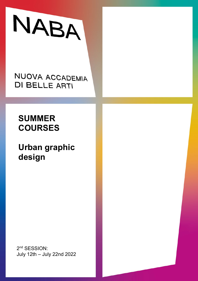# NABA

## NUOVA ACCADEMIA **DI BELLE ARTI**

# **SUMMER COURSES**

# **Urban graphic design**

2<sup>nd</sup> SESSION: July 12th – July 22nd 2022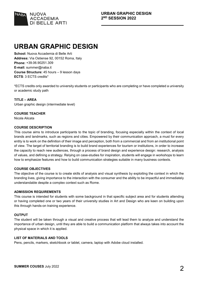

## **URBAN GRAPHIC DESIGN**

**School:** Nuova Accademia di Belle Arti **Address:** Via Ostiense 92, 00152 Roma, Italy **Phone:** +39.06.90251.309 **E-mail:** summer@naba.it **Course Structure:** 45 hours – 9 lesson days **ECTS**: 3 ECTS credits\*

\*ECTS credits only awarded to university students or participants who are completing or have completed a university or academic study path

#### **TITLE – AREA** Urban graphic design (intermediate level)

**COURSE TEACHER** Nicola Alicata

#### **COURSE DESCRIPTION**

This course aims to introduce participants to the topic of branding, focusing especially within the context of local brands and landmarks, such as regions and cities. Empowered by their communication approach, a must for every entity is to work on the definition of their image and perception, both from a commercial and from an institutional point of view. The target of territorial branding is to build brand experiences for tourism or institutions, in order to increase the capacity to reach new audiences, through a process of brand design and experience design: research, analysis of values, and defining a strategy. Relying on case-studies for inspiration, students will engage in workshops to learn how to emphasize features and how to build communication strategies suitable in many business contexts.

#### **COURSE OBJECTIVES**

The objective of the course is to create skills of analysis and visual synthesis by exploiting the context in which the branding lives, giving importance to the interaction with the consumer and the ability to be impactful and immediately understandable despite a complex context such as Rome.

#### **ADMISSION REQUIREMENTS**

This course is intended for students with some background in that specific subject area and for students attending or having completed one or two years of their university studies in Art and Design who are keen on building upon this through hands-on training experience.

#### **OUTPUT**

The student will be taken through a visual and creative process that will lead them to analyze and understand the importance of urban design, until they are able to build a communication platform that always takes into account the physical space in which it is applied.

#### **LIST OF MATERIALS AND TOOLS**

Pens, pencils, markers, sketchbook or tablet, camera, laptop with Adobe cloud installed.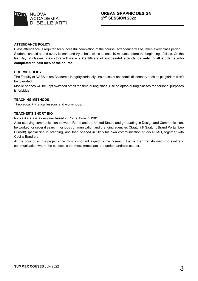

#### **ATTENDANCE POLICY**

Class attendance is required for successful completion of the course. Attendance will be taken every class period. Students should attend every lesson, and try to be in class at least 10 minutes before the beginning of class. On the last day of classes, instructors will issue a **Certificate of successful attendance only to all students who completed at least 80% of the course.**

#### **COURSE POLICY**

The Faculty of NABA takes Academic integrity seriously. Instances of academic dishonesty such as plagiarism won't be tolerated.

Mobile phones will be kept switched off all the time during class. Use of laptop during classes for personal purposes is forbidden.

#### **TEACHING METHODS**

Theoretical + Pratical lessons and workshops.

#### **TEACHER'S SHORT BIO**

Nicola Alicata is a designer based in Rome, born in 1981.

After studying communication between Rome and the United States and graduating in Design and Communication, he worked for several years in various communication and branding agencies (Saatchi & Saatchi, Brand Portal, Leo Burnett) specializing in branding, and then opened in 2015 his own communication studio NOAO, together with Cecilia Bandiera.

At the core of all his projects the most important aspect is the research that is then transformed into synthetic communication where the concept is the most immediate and understandable aspect.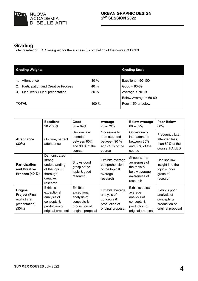

## **Grading**

Total number of ECTS assigned for the successful completion of the course: **3 ECTS**

| <b>Grading Weights</b>                    | <b>Grading Scale</b> |                       |
|-------------------------------------------|----------------------|-----------------------|
|                                           |                      |                       |
| Attendance                                | 30%                  | Excellent = $90-100$  |
| <b>Participation and Creative Process</b> | 40 %                 | $Good = 80-89$        |
| 3. Final work / Final presentation        | 30%                  | Average = $70-79$     |
|                                           |                      | Below Average = 60-69 |
| <b>TOTAL</b>                              | 100 %                | Poor = $59$ or below  |
|                                           |                      |                       |

|                                                                            | <b>Excellent</b><br>90 - 100%                                                                     | Good<br>$80 - 89%$                                                                                | Average<br>$70 - 79%$                                                               | <b>Below Average</b><br>$60 - 69%$                                                                  | <b>Poor Below</b><br>60%                                                         |
|----------------------------------------------------------------------------|---------------------------------------------------------------------------------------------------|---------------------------------------------------------------------------------------------------|-------------------------------------------------------------------------------------|-----------------------------------------------------------------------------------------------------|----------------------------------------------------------------------------------|
| <b>Attendance</b><br>(30%)                                                 | On time, perfect<br>attendance                                                                    | Seldom late:<br>attended<br>between 95%<br>and 90 % of the<br>course                              | Occasionally<br>late: attended<br>between 90 %<br>and 85 % of the<br>course         | Occasionally<br>late: attended<br>between 85%<br>and 80% of the<br>course                           | Frequently late,<br>attended less<br>than 80% of the<br>course: FAILED           |
| Participation<br>and Creative<br>Process $(40 %)$                          | Demonstrates<br>strong<br>understanding<br>of the topic &<br>thorough,<br>creative<br>research    | Shows good<br>grasp of the<br>topic & good<br>research                                            | Exhibits average<br>comprehension<br>of the topic &<br>average<br>research          | Shows some<br>awareness of<br>the topic &<br>below average<br>awareness of<br>research              | Has shallow<br>insight into the<br>topic & poor<br>grasp of<br>research          |
| Original<br><b>Project (Final</b><br>work/ Final<br>presentation)<br>(30%) | <b>Exhibits</b><br>exceptional<br>analysis of<br>concepts &<br>production of<br>original proposal | <b>Exhibits</b><br>exceptional<br>analysis of<br>concepts &<br>production of<br>original proposal | Exhibits average<br>analysis of<br>concepts &<br>production of<br>original proposal | <b>Exhibits below</b><br>average<br>analysis of<br>concepts &<br>production of<br>original proposal | Exhibits poor<br>analysis of<br>concepts &<br>production of<br>original proposal |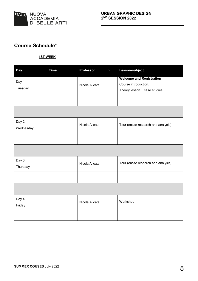

### **Course Schedule\***

#### **1ST WEEK**

| <b>Day</b> | <b>Time</b> | <b>Professor</b> | h | Lesson-subject                                          |
|------------|-------------|------------------|---|---------------------------------------------------------|
| Day 1      |             |                  |   | <b>Welcome and Registration</b><br>Course introduction. |
| Tuesday    |             | Nicola Alicata   |   |                                                         |
|            |             |                  |   | Theory lesson + case studies                            |
|            |             |                  |   |                                                         |
|            |             |                  |   |                                                         |
| Day 2      |             | Nicola Alicata   |   | Tour (onsite research and analysis)                     |
| Wednesday  |             |                  |   |                                                         |
|            |             |                  |   |                                                         |
|            |             |                  |   |                                                         |
| Day 3      |             | Nicola Alicata   |   | Tour (onsite research and analysis)                     |
| Thursday   |             |                  |   |                                                         |
|            |             |                  |   |                                                         |
|            |             |                  |   |                                                         |
| Day 4      |             |                  |   | Workshop                                                |
| Friday     |             | Nicola Alicata   |   |                                                         |
|            |             |                  |   |                                                         |